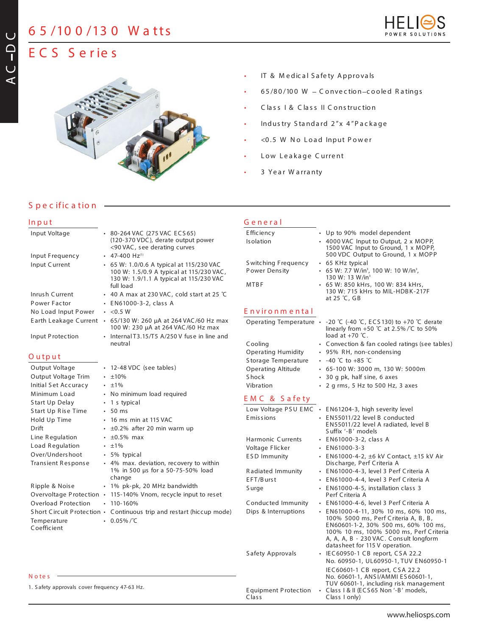## **6 5 /10 0 /13 0 W a tts**



# **E C S S e r ie s**



- IT & Medical Safety Approvals
- $65/80/100$  W Convection-cooled Ratings
- C la ss I & C la ss II C onstruc tion
- Industry Standard 2"x 4"Package
- <0.5 W No Load Input Power
- Low Leakage Current
- 3 Year Warranty

**G e n e r a l**

### **S p e c ific a tio n**

#### **In p u t**

**AC**

**D C**

| Input Voltage                                 | • 80-264 VAC (275 VAC ECS65)                                                                        | E fficiency                          | • Up to 90% model dependent                                                                                                                                                                         |
|-----------------------------------------------|-----------------------------------------------------------------------------------------------------|--------------------------------------|-----------------------------------------------------------------------------------------------------------------------------------------------------------------------------------------------------|
|                                               | (120-370 VDC), derate output power<br><90 VAC, see derating curves                                  | Isolation                            | • 4000 VAC Input to Output, 2 x MOPP,<br>1500 VAC Input to Ground, 1 x MOPP,                                                                                                                        |
| Input Frequency                               | $\cdot$ 47-400 Hz <sup>(1)</sup>                                                                    |                                      | 500 VDC Output to Ground, 1 x MOPP                                                                                                                                                                  |
| Input Current                                 | • 65 W: 1.0/0.6 A typical at 115/230 VAC<br>100 W: 1.5/0.9 A typical at 115/230 VAC,                | Switching Frequency<br>Power Density | • 65 KHz typical<br>• 65 W: 7.7 W/in <sup>3</sup> , 100 W: 10 W/in <sup>3</sup> ,                                                                                                                   |
|                                               | 130 W: 1.9/1.1 A typical at 115/230 VAC                                                             | <b>MTBF</b>                          | 130 W: 13 W/in <sup>3</sup><br>• 65 W: 850 kHrs, 100 W: 834 kHrs,                                                                                                                                   |
|                                               | full load                                                                                           |                                      | 130 W: 715 kHrs to MIL-HDBK-217F                                                                                                                                                                    |
| Inrush Current                                | • 40 A max at 230 VAC, cold start at 25 °C                                                          |                                      | at 25 °C, GB                                                                                                                                                                                        |
| Power Factor                                  | • EN61000-3-2, class A                                                                              |                                      |                                                                                                                                                                                                     |
| No Load Input Power                           | $\cdot$ <0.5 W                                                                                      | Environmental                        |                                                                                                                                                                                                     |
|                                               | Earth Leakage Current • 65/130 W: 260 µA at 264 VAC/60 Hz max<br>100 W: 230 µA at 264 VAC/60 Hz max | Operating Temperature .              | -20 °C (-40 °C, ECS 130) to +70 °C derate<br>linearly from $+50$ °C at 2.5% /°C to 50%                                                                                                              |
| Input Protection                              | • Internal T3.15/T5 A/250 V fuse in line and<br>neutral                                             |                                      | load at $+70$ °C.                                                                                                                                                                                   |
|                                               |                                                                                                     | Cooling                              | • Convection & fan cooled ratings (see tables)                                                                                                                                                      |
| Output                                        |                                                                                                     | <b>Operating Humidity</b>            | • 95% RH, non-condensing                                                                                                                                                                            |
| Output Voltage                                | • 12-48 VDC (see tables)                                                                            | Storage Temperature                  | • $-40$ °C to $+85$ °C                                                                                                                                                                              |
| Output Voltage Trim                           | $\cdot$ ±10%                                                                                        | <b>Operating Altitude</b>            | • 65-100 W: 3000 m, 130 W: 5000m                                                                                                                                                                    |
| Initial Set Accuracy                          | $\cdot$ $\pm 1\%$                                                                                   | <b>Shock</b>                         | • 30 g pk, half sine, 6 axes                                                                                                                                                                        |
|                                               |                                                                                                     | Vibration                            | • 2 g rms, 5 Hz to 500 Hz, 3 axes                                                                                                                                                                   |
| Minimum Load                                  | • No minimum load required                                                                          | EMC & Safety                         |                                                                                                                                                                                                     |
| Start Up Delay                                | $\cdot$ 1 s typical                                                                                 |                                      | Low Voltage PSU EMC . EN61204-3, high severity level                                                                                                                                                |
| Start Up Rise Time                            | $\cdot$ 50 ms                                                                                       | Emissions                            | • EN55011/22 level B conducted                                                                                                                                                                      |
| Hold Up Time<br>Drift                         | $\cdot$ 16 ms min at 115 VAC<br>$\cdot$ ±0.2% after 20 min warm up                                  |                                      | EN55011/22 level A radiated, level B<br>Suffix '-B' models                                                                                                                                          |
| Line Regulation                               | $\cdot$ ±0.5% max                                                                                   | <b>Harmonic Currents</b>             | • EN61000-3-2, class A                                                                                                                                                                              |
| Load Regulation                               | $\cdot$ $\pm 1\%$                                                                                   | Voltage Flicker                      | $\cdot$ EN61000-3-3                                                                                                                                                                                 |
| Over/Undershoot<br>Transient Response         | • 5% typical<br>• 4% max. deviation, recovery to within                                             | <b>ESD Immunity</b>                  | • EN61000-4-2, ±6 kV Contact, ±15 kV Air<br>Discharge, Perf Criteria A                                                                                                                              |
|                                               | 1% in 500 us for a 50-75-50% load                                                                   | Radiated Immunity                    | • EN61000-4-3, level 3 Perf Criteria A                                                                                                                                                              |
|                                               | change                                                                                              | EFT/Burst                            | • EN61000-4-4, level 3 Perf Criteria A                                                                                                                                                              |
| Ripple & Noise                                | • 1% pk-pk, 20 MHz bandwidth                                                                        | Surge                                | • EN61000-4-5, installation class 3                                                                                                                                                                 |
|                                               | Overvoltage Protection • 115-140% Vnom, recycle input to reset                                      |                                      | Perf Criteria A                                                                                                                                                                                     |
| <b>Overload Protection</b>                    | $\cdot$ 110-160%                                                                                    | Conducted Immunity                   | • EN61000-4-6, level 3 Perf Criteria A                                                                                                                                                              |
|                                               | Short Circuit Protection • Continuous trip and restart (hiccup mode)                                | Dips & Interruptions                 | • EN61000-4-11, 30% 10 ms, 60% 100 ms,                                                                                                                                                              |
| Temperature<br>Coefficient                    | $\cdot$ 0.05%/°C                                                                                    |                                      | 100% 5000 ms, Perf Criteria A, B, B,<br>EN60601-1-2, 30% 500 ms, 60% 100 ms,<br>100% 10 ms, 100% 5000 ms, Perf Criteria<br>A, A, A, B - 230 VAC. Consult longform<br>datasheet for 115 V operation. |
|                                               |                                                                                                     | Safety Approvals                     | • IEC60950-1 CB report, CSA 22.2<br>No. 60950-1, UL60950-1, TUV EN60950-1                                                                                                                           |
| Notes                                         |                                                                                                     |                                      | IEC60601-1 CB report, CSA 22.2<br>No. 60601-1, ANSI/AMMI ES 60601-1,                                                                                                                                |
| 1. Safety approvals cover frequency 47-63 Hz. |                                                                                                     | Equipment Protection<br>Class        | TUV 60601-1, including risk management<br>• Class I & II (ECS65 Non '-B' models,<br>Class I only)                                                                                                   |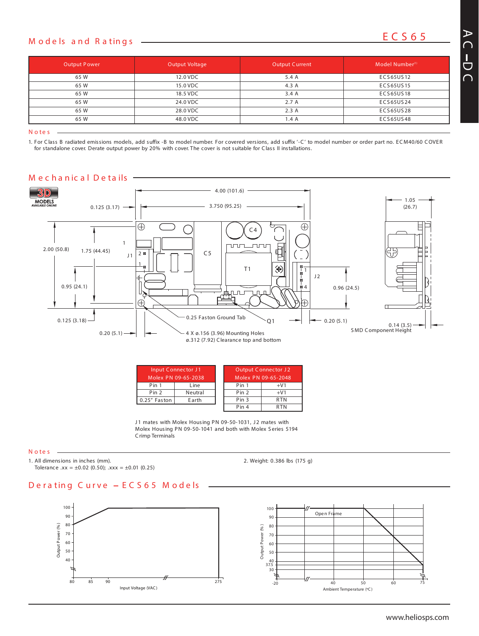## **E C S 6 5 <sup>M</sup> <sup>o</sup> <sup>d</sup> <sup>e</sup> ls <sup>a</sup> <sup>n</sup> <sup>d</sup> <sup>R</sup> <sup>a</sup> tin <sup>g</sup> <sup>s</sup>**

| <b>Output Power</b> | Output Voltage | <b>Output Current</b> | Model Number <sup>(1)</sup> |
|---------------------|----------------|-----------------------|-----------------------------|
| 65 W                | 12.0 VDC       | 5.4 A                 | ECS65US12                   |
| 65 W                | 15.0 VDC       | 4.3 A                 | ECS65US15                   |
| 65 W                | 18.5 VDC       | 3.4A                  | ECS65US18                   |
| 65 W                | 24.0 VDC       | 2.7A                  | ECS65US24                   |
| 65 W                | 28.0 VDC       | 2.3A                  | ECS65US28                   |
| 65 W                | 48.0 VDC       | 1.4A                  | ECS65US48                   |
|                     |                |                       |                             |

**N o te s**

1. For Class B radiated emissions models, add suffix -B to model number. For covered versions, add suffix '-C' to model number or order part no. ECM40/60 COVER for standalone cover. Derate output power by 20% with cover. The cover is not suitable for Class II installations.



| Input Connector J1  |         |  | <b>Output Connector J2</b> |                     |
|---------------------|---------|--|----------------------------|---------------------|
| Molex PN 09-65-2038 |         |  |                            | Molex PN 09-65-2048 |
| Pin 1               | Line    |  | Pin 1                      | $+V1$               |
| Pin 2               | Neutral |  | Pin 2                      | $+V1$               |
| 0.25" Faston        | Earth   |  | Pin 3                      | <b>RTN</b>          |
|                     |         |  | Pin 4                      | RTN                 |

J1 mates with Molex Housing PN 09-50-1031, J2 mates with Molex Housing PN 09-50-1041 and both with Molex S eries 5194 Crimp Terminals

**N o te s**

1. All dimensions in inches (mm).

Tolerance .xx =  $\pm 0.02$  (0.50); .xxx =  $\pm 0.01$  (0.25)

2. Weight: 0.386 lbs (175 g)

#### **D e r a tin g C u r v e E C S 6 5 M o d e ls**



## **A C**  $\frac{1}{\sqrt{2}}$

**C**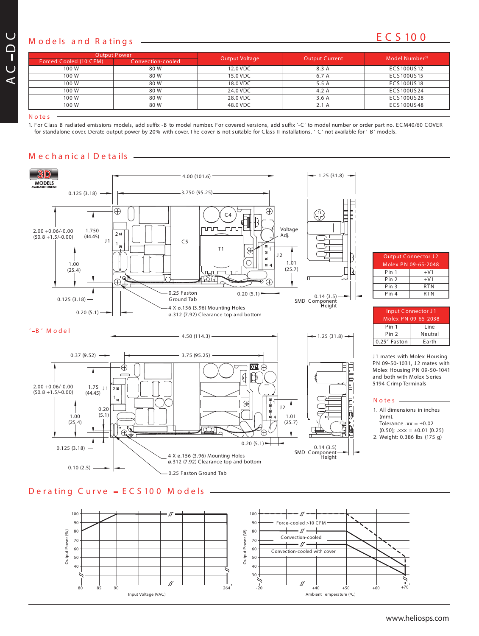## **<sup>M</sup> E C S 10 0 <sup>o</sup> <sup>d</sup> <sup>e</sup> ls <sup>a</sup> <sup>n</sup> <sup>d</sup> <sup>R</sup> <sup>a</sup> tin <sup>g</sup> <sup>s</sup>**

| <b>Output Power</b>    |                   |                |                       | Model Number <sup>(1)</sup> |  |
|------------------------|-------------------|----------------|-----------------------|-----------------------------|--|
| Forced Cooled (10 CFM) | Convection-cooled | Output Voltage | <b>Output Current</b> |                             |  |
| 100 W                  | 80 W              | 12.0 VDC       | 8.3 A                 | ECS 100US 12                |  |
| 100 W                  | 80 W              | 15.0 VDC       | 6.7 A                 | ECS100US15                  |  |
| 100 W                  | 80 W              | 18.0 VDC       | 5.5 A                 | ECS 100US 18                |  |
| 100 W                  | 80 W              | 24.0 VDC       | 4.2A                  | ECS100US24                  |  |
| 100 W                  | 80 W              | 28.0 VDC       | 3.6A                  | ECS100US28                  |  |
| 100 W                  | 80 W              | 48.0 VDC       | 2.1A                  | ECS100US48                  |  |
|                        |                   |                |                       |                             |  |

**N o te s**

**AC**

**DC**

> 1. For Class B radiated emissions models, add suffix -B to model number. For covered versions, add suffix '-C' to model number or order part no. ECM40/60 COVER for standalone cover. Derate output power by 20% with cover. The cover is not suitable for Class II installations. '-C' not available for '-B' models.



### **M e c h a n ic a l D e ta ils**



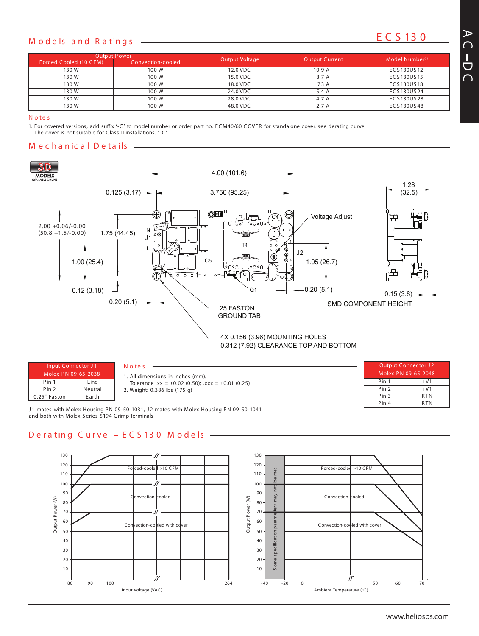## **<sup>M</sup> E C S 13 0 <sup>o</sup> <sup>d</sup> <sup>e</sup> ls <sup>a</sup> <sup>n</sup> <sup>d</sup> <sup>R</sup> <sup>a</sup> tin <sup>g</sup> <sup>s</sup>**

| <b>Output Power</b>    |                   |                |                       | Model Number <sup>(1)</sup> |  |
|------------------------|-------------------|----------------|-----------------------|-----------------------------|--|
| Forced Cooled (10 CFM) | Convection-cooled | Output Voltage | <b>Output Current</b> |                             |  |
| 130 W                  | 100 W             | 12.0 VDC       | 10.9A                 | ECS 130US 12                |  |
| 130 W                  | 100 W             | 15.0 VDC       | 8.7 A                 | ECS 130US 15                |  |
| 130 W                  | 100 W             | 18.0 VDC       | 7.3A                  | ECS130US18                  |  |
| 130W                   | 100 W             | 24.0 VDC       | 5.4 A                 | ECS 130US 24                |  |
| 130 W                  | 100 W             | 28.0 VDC       | 4.7 A                 | ECS130US28                  |  |
| 130 W                  | 100 W             | 48.0 VDC       | 2.7A                  | ECS130US48                  |  |
|                        |                   |                |                       |                             |  |

**N o te s**

1. For covered versions, add suffix '-C' to model number or order part no. ECM40/60 COVER for standalone cover, see derating curve.

*The cover is not suitable for Class II installations. '-C'.*

### **M e c h a n ic a l D e ta ils**



| Input Connector J1<br>Molex PN 09-65-2038<br>Pin 1<br>Line |         | Notes<br>. All dimensions in inches (mm).                                                                                                         | <b>Output Connector J2</b><br>Molex PN 09-65-2048 |            |
|------------------------------------------------------------|---------|---------------------------------------------------------------------------------------------------------------------------------------------------|---------------------------------------------------|------------|
|                                                            |         | Tolerance $xx = \pm 0.02$ (0.50); $xxx = \pm 0.01$ (0.25)                                                                                         | Pin 1                                             | $+V1$      |
| Pin 2                                                      | Neutral | 2. Weight: 0.386 lbs (175 g)                                                                                                                      | Pin 2                                             | $+V1$      |
| Earth<br>0.25" Faston                                      |         |                                                                                                                                                   | Pin 3                                             | <b>RTN</b> |
|                                                            |         | $\alpha$ and $\alpha$ is the state of the state in $\alpha$ and $\alpha$ in $\alpha$ is the state of the state in $\alpha$ is a state in $\alpha$ | Pin 4                                             | <b>RTN</b> |

J1 mates with Molex Housing PN 09-50-1031, J2 mates with Molex Housing PN 09-50-1041 and both with Molex S eries 5194 Crimp Terminals

### **D e r a tin g C u r v e E C S 13 0 M o d e ls**